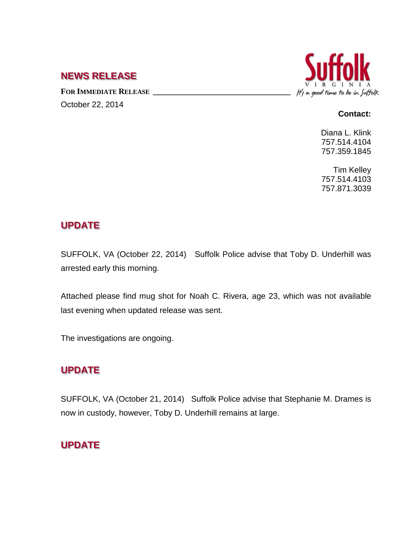### **NEWS RELEASE**

**FOR IMMEDIATE RELEASE \_\_\_\_\_\_\_\_\_\_\_\_\_\_\_\_\_\_\_\_\_\_\_\_\_\_\_\_\_\_\_\_\_\_** October 22, 2014



#### **Contact:**

Diana L. Klink 757.514.4104 757.359.1845

Tim Kelley 757.514.4103 757.871.3039

## **UPDATE**

SUFFOLK, VA (October 22, 2014) Suffolk Police advise that Toby D. Underhill was arrested early this morning.

Attached please find mug shot for Noah C. Rivera, age 23, which was not available last evening when updated release was sent.

The investigations are ongoing.

## **UPDATE**

SUFFOLK, VA (October 21, 2014) Suffolk Police advise that Stephanie M. Drames is now in custody, however, Toby D. Underhill remains at large.

# **UPDATE**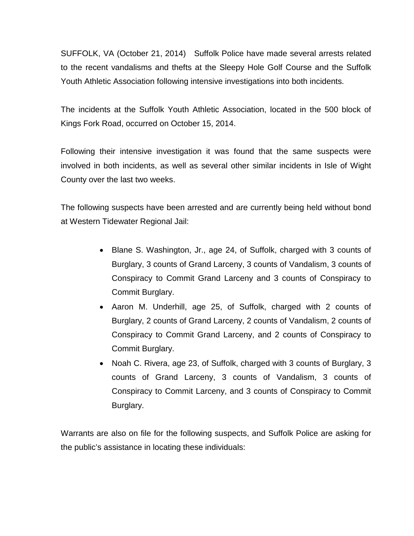SUFFOLK, VA (October 21, 2014) Suffolk Police have made several arrests related to the recent vandalisms and thefts at the Sleepy Hole Golf Course and the Suffolk Youth Athletic Association following intensive investigations into both incidents.

The incidents at the Suffolk Youth Athletic Association, located in the 500 block of Kings Fork Road, occurred on October 15, 2014.

Following their intensive investigation it was found that the same suspects were involved in both incidents, as well as several other similar incidents in Isle of Wight County over the last two weeks.

The following suspects have been arrested and are currently being held without bond at Western Tidewater Regional Jail:

- Blane S. Washington, Jr., age 24, of Suffolk, charged with 3 counts of Burglary, 3 counts of Grand Larceny, 3 counts of Vandalism, 3 counts of Conspiracy to Commit Grand Larceny and 3 counts of Conspiracy to Commit Burglary.
- Aaron M. Underhill, age 25, of Suffolk, charged with 2 counts of Burglary, 2 counts of Grand Larceny, 2 counts of Vandalism, 2 counts of Conspiracy to Commit Grand Larceny, and 2 counts of Conspiracy to Commit Burglary.
- Noah C. Rivera, age 23, of Suffolk, charged with 3 counts of Burglary, 3 counts of Grand Larceny, 3 counts of Vandalism, 3 counts of Conspiracy to Commit Larceny, and 3 counts of Conspiracy to Commit Burglary.

Warrants are also on file for the following suspects, and Suffolk Police are asking for the public's assistance in locating these individuals: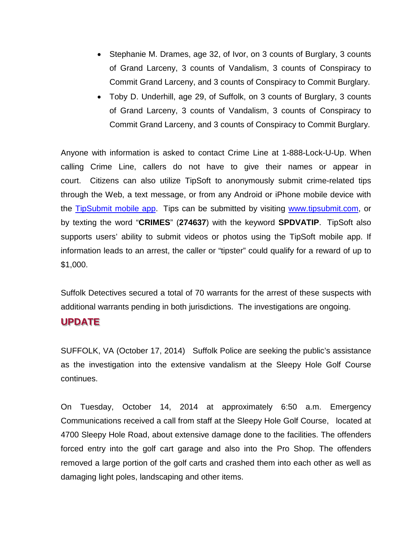- Stephanie M. Drames, age 32, of Ivor, on 3 counts of Burglary, 3 counts of Grand Larceny, 3 counts of Vandalism, 3 counts of Conspiracy to Commit Grand Larceny, and 3 counts of Conspiracy to Commit Burglary.
- Toby D. Underhill, age 29, of Suffolk, on 3 counts of Burglary, 3 counts of Grand Larceny, 3 counts of Vandalism, 3 counts of Conspiracy to Commit Grand Larceny, and 3 counts of Conspiracy to Commit Burglary.

Anyone with information is asked to contact Crime Line at 1-888-Lock-U-Up. When calling Crime Line, callers do not have to give their names or appear in court. Citizens can also utilize TipSoft to anonymously submit crime-related tips through the Web, a text message, or from any Android or iPhone mobile device with the [TipSubmit mobile app.](http://www.tipsoft.com/index.asp?P=TipSubmitMobile) Tips can be submitted by visiting [www.tipsubmit.com,](http://www.tipsubmit.com/) or by texting the word "**CRIMES**" (**274637**) with the keyword **SPDVATIP**. TipSoft also supports users' ability to submit videos or photos using the TipSoft mobile app. If information leads to an arrest, the caller or "tipster" could qualify for a reward of up to \$1,000.

Suffolk Detectives secured a total of 70 warrants for the arrest of these suspects with additional warrants pending in both jurisdictions. The investigations are ongoing.

#### **UPDATE**

SUFFOLK, VA (October 17, 2014) Suffolk Police are seeking the public's assistance as the investigation into the extensive vandalism at the Sleepy Hole Golf Course continues.

On Tuesday, October 14, 2014 at approximately 6:50 a.m. Emergency Communications received a call from staff at the Sleepy Hole Golf Course, located at 4700 Sleepy Hole Road, about extensive damage done to the facilities. The offenders forced entry into the golf cart garage and also into the Pro Shop. The offenders removed a large portion of the golf carts and crashed them into each other as well as damaging light poles, landscaping and other items.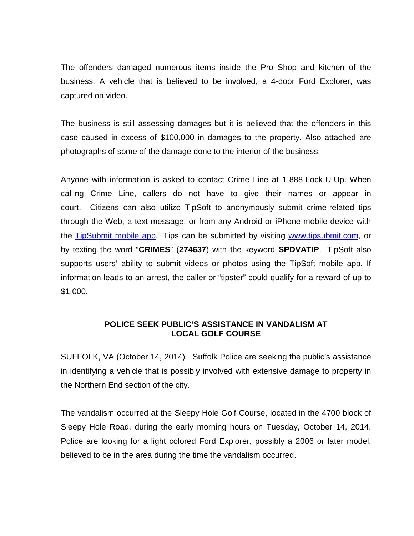The offenders damaged numerous items inside the Pro Shop and kitchen of the business. A vehicle that is believed to be involved, a 4-door Ford Explorer, was captured on video.

The business is still assessing damages but it is believed that the offenders in this case caused in excess of \$100,000 in damages to the property. Also attached are photographs of some of the damage done to the interior of the business.

Anyone with information is asked to contact Crime Line at 1-888-Lock-U-Up. When calling Crime Line, callers do not have to give their names or appear in court. Citizens can also utilize TipSoft to anonymously submit crime-related tips through the Web, a text message, or from any Android or iPhone mobile device with the [TipSubmit mobile app.](http://www.tipsoft.com/index.asp?P=TipSubmitMobile) Tips can be submitted by visiting [www.tipsubmit.com,](http://www.tipsubmit.com/) or by texting the word "**CRIMES**" (**274637**) with the keyword **SPDVATIP**. TipSoft also supports users' ability to submit videos or photos using the TipSoft mobile app. If information leads to an arrest, the caller or "tipster" could qualify for a reward of up to \$1,000.

#### **POLICE SEEK PUBLIC'S ASSISTANCE IN VANDALISM AT LOCAL GOLF COURSE**

SUFFOLK, VA (October 14, 2014) Suffolk Police are seeking the public's assistance in identifying a vehicle that is possibly involved with extensive damage to property in the Northern End section of the city.

The vandalism occurred at the Sleepy Hole Golf Course, located in the 4700 block of Sleepy Hole Road, during the early morning hours on Tuesday, October 14, 2014. Police are looking for a light colored Ford Explorer, possibly a 2006 or later model, believed to be in the area during the time the vandalism occurred.